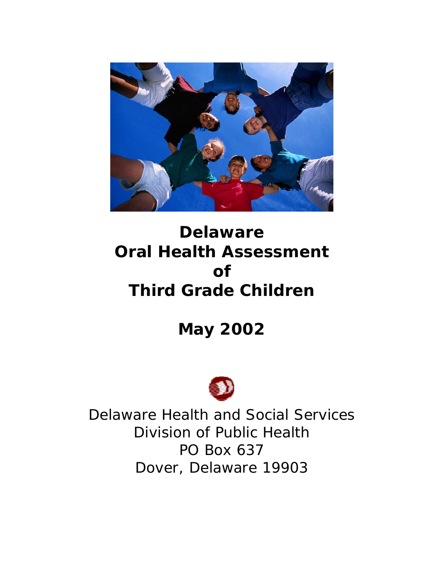

# **Delaware Oral Health Assessment of Third Grade Children**

**May 2002** 



Delaware Health and Social Services Division of Public Health PO Box 637 Dover, Delaware 19903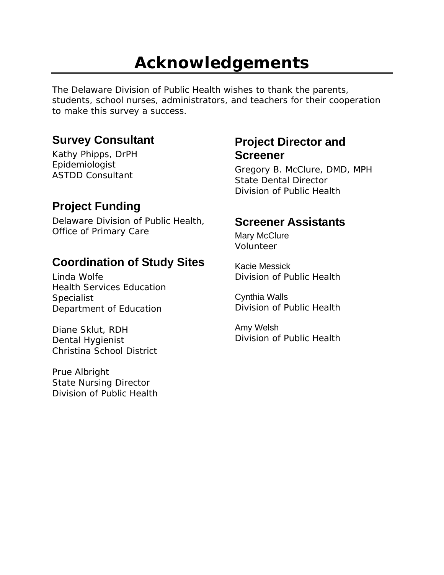# **Acknowledgements**

The Delaware Division of Public Health wishes to thank the parents, students, school nurses, administrators, and teachers for their cooperation to make this survey a success.

## **Survey Consultant**

Kathy Phipps, DrPH Epidemiologist ASTDD Consultant

# **Project Funding**

Delaware Division of Public Health, Office of Primary Care

## **Coordination of Study Sites**

Linda Wolfe Health Services Education **Specialist** Department of Education

Diane Sklut, RDH Dental Hygienist Christina School District

Prue Albright State Nursing Director Division of Public Health

## **Project Director and Screener**

Gregory B. McClure, DMD, MPH State Dental Director Division of Public Health

## **Screener Assistants**

Mary McClure Volunteer

Kacie Messick Division of Public Health

Cynthia Walls Division of Public Health

Amy Welsh Division of Public Health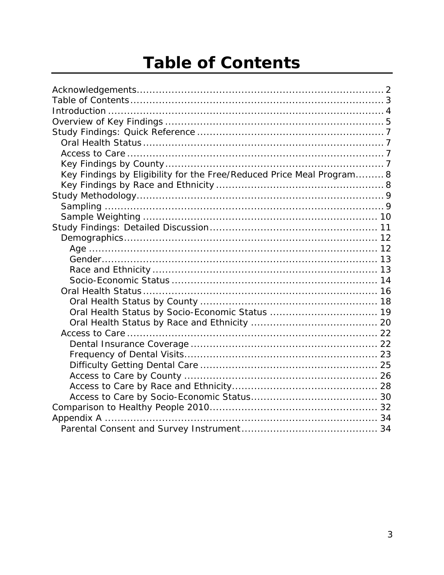# **Table of Contents**

| Key Findings by Eligibility for the Free/Reduced Price Meal Program 8 |
|-----------------------------------------------------------------------|
|                                                                       |
|                                                                       |
|                                                                       |
|                                                                       |
|                                                                       |
|                                                                       |
|                                                                       |
|                                                                       |
|                                                                       |
|                                                                       |
|                                                                       |
|                                                                       |
| Oral Health Status by Socio-Economic Status  19                       |
|                                                                       |
|                                                                       |
|                                                                       |
|                                                                       |
|                                                                       |
|                                                                       |
|                                                                       |
|                                                                       |
|                                                                       |
|                                                                       |
|                                                                       |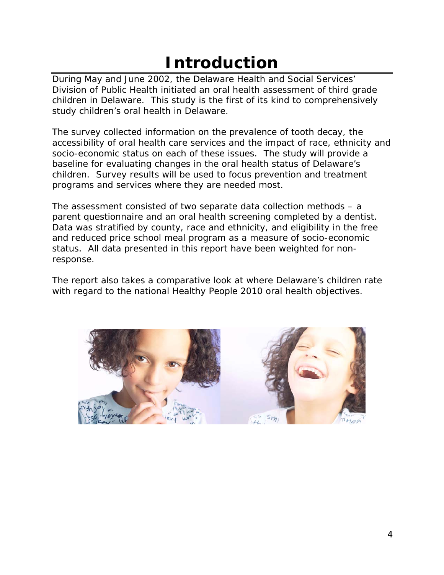# **Introduction**

During May and June 2002, the Delaware Health and Social Services' Division of Public Health initiated an oral health assessment of third grade children in Delaware. This study is the first of its kind to comprehensively study children's oral health in Delaware.

The survey collected information on the prevalence of tooth decay, the accessibility of oral health care services and the impact of race, ethnicity and socio-economic status on each of these issues. The study will provide a baseline for evaluating changes in the oral health status of Delaware's children. Survey results will be used to focus prevention and treatment programs and services where they are needed most.

The assessment consisted of two separate data collection methods – a parent questionnaire and an oral health screening completed by a dentist. Data was stratified by county, race and ethnicity, and eligibility in the free and reduced price school meal program as a measure of socio-economic status. All data presented in this report have been weighted for nonresponse.

The report also takes a comparative look at where Delaware's children rate with regard to the national Healthy People 2010 oral health objectives.

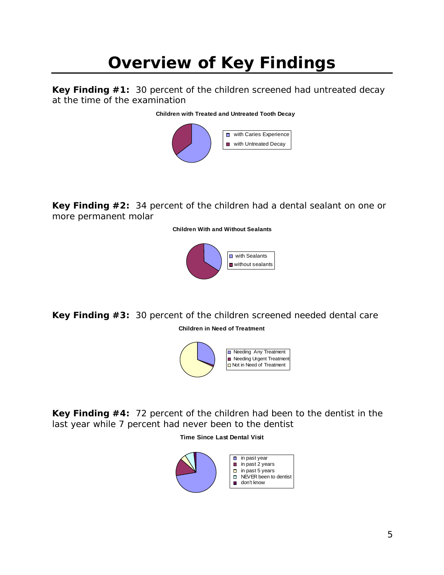# **Overview of Key Findings**

**Key Finding #1:** 30 percent of the children screened had untreated decay at the time of the examination

#### **Children with Treated and Untreated Tooth Decay**



**Key Finding #2:** 34 percent of the children had a dental sealant on one or more permanent molar

**Children With and Without Sealants**



**Key Finding #3:** 30 percent of the children screened needed dental care **Children in Need of Treatment**



**Key Finding #4:** 72 percent of the children had been to the dentist in the last year while 7 percent had never been to the dentist

#### **Time Since Last Dental Visit**

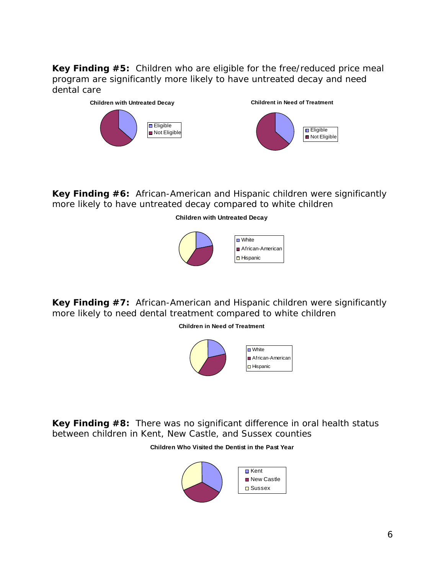**Key Finding #5:** Children who are eligible for the free/reduced price meal program are significantly more likely to have untreated decay and need dental care



**Key Finding #6:** African-American and Hispanic children were significantly more likely to have untreated decay compared to white children

**Children with Untreated Decay**



**Key Finding #7:** African-American and Hispanic children were significantly more likely to need dental treatment compared to white children

**Children in Need of Treatment**



**Key Finding #8:** There was no significant difference in oral health status between children in Kent, New Castle, and Sussex counties

#### **Children Who Visited the Dentist in the Past Year**

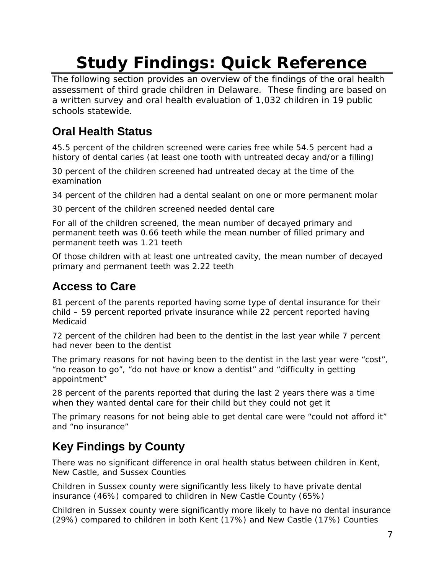# **Study Findings: Quick Reference**

The following section provides an overview of the findings of the oral health assessment of third grade children in Delaware. These finding are based on a written survey and oral health evaluation of 1,032 children in 19 public schools statewide.

# **Oral Health Status**

45.5 percent of the children screened were caries free while 54.5 percent had a history of dental caries (at least one tooth with untreated decay and/or a filling)

30 percent of the children screened had untreated decay at the time of the examination

34 percent of the children had a dental sealant on one or more permanent molar

30 percent of the children screened needed dental care

For all of the children screened, the mean number of decayed primary and permanent teeth was 0.66 teeth while the mean number of filled primary and permanent teeth was 1.21 teeth

Of those children with at least one untreated cavity, the mean number of decayed primary and permanent teeth was 2.22 teeth

# **Access to Care**

81 percent of the parents reported having some type of dental insurance for their child – 59 percent reported private insurance while 22 percent reported having Medicaid

72 percent of the children had been to the dentist in the last year while 7 percent had never been to the dentist

The primary reasons for not having been to the dentist in the last year were "cost", "no reason to go", "do not have or know a dentist" and "difficulty in getting appointment"

28 percent of the parents reported that during the last 2 years there was a time when they wanted dental care for their child but they could not get it

The primary reasons for not being able to get dental care were "could not afford it" and "no insurance"

# **Key Findings by County**

There was no significant difference in oral health status between children in Kent, New Castle, and Sussex Counties

Children in Sussex county were significantly less likely to have private dental insurance (46%) compared to children in New Castle County (65%)

Children in Sussex county were significantly more likely to have no dental insurance (29%) compared to children in both Kent (17%) and New Castle (17%) Counties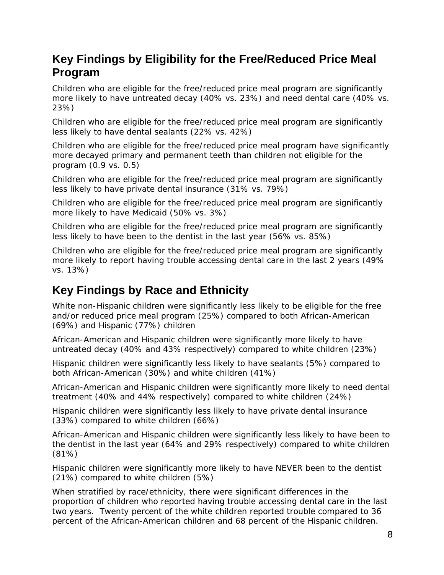## **Key Findings by Eligibility for the Free/Reduced Price Meal Program**

Children who are eligible for the free/reduced price meal program are significantly more likely to have untreated decay (40% vs. 23%) and need dental care (40% vs. 23%)

Children who are eligible for the free/reduced price meal program are significantly less likely to have dental sealants (22% vs. 42%)

Children who are eligible for the free/reduced price meal program have significantly more decayed primary and permanent teeth than children not eligible for the program (0.9 vs. 0.5)

Children who are eligible for the free/reduced price meal program are significantly less likely to have private dental insurance (31% vs. 79%)

Children who are eligible for the free/reduced price meal program are significantly more likely to have Medicaid (50% vs. 3%)

Children who are eligible for the free/reduced price meal program are significantly less likely to have been to the dentist in the last year (56% vs. 85%)

Children who are eligible for the free/reduced price meal program are significantly more likely to report having trouble accessing dental care in the last 2 years (49% vs. 13%)

## **Key Findings by Race and Ethnicity**

White non-Hispanic children were significantly less likely to be eligible for the free and/or reduced price meal program (25%) compared to both African-American (69%) and Hispanic (77%) children

African-American and Hispanic children were significantly more likely to have untreated decay (40% and 43% respectively) compared to white children (23%)

Hispanic children were significantly less likely to have sealants (5%) compared to both African-American (30%) and white children (41%)

African-American and Hispanic children were significantly more likely to need dental treatment (40% and 44% respectively) compared to white children (24%)

Hispanic children were significantly less likely to have private dental insurance (33%) compared to white children (66%)

African-American and Hispanic children were significantly less likely to have been to the dentist in the last year (64% and 29% respectively) compared to white children (81%)

Hispanic children were significantly more likely to have NEVER been to the dentist (21%) compared to white children (5%)

When stratified by race/ethnicity, there were significant differences in the proportion of children who reported having trouble accessing dental care in the last two years. Twenty percent of the white children reported trouble compared to 36 percent of the African-American children and 68 percent of the Hispanic children.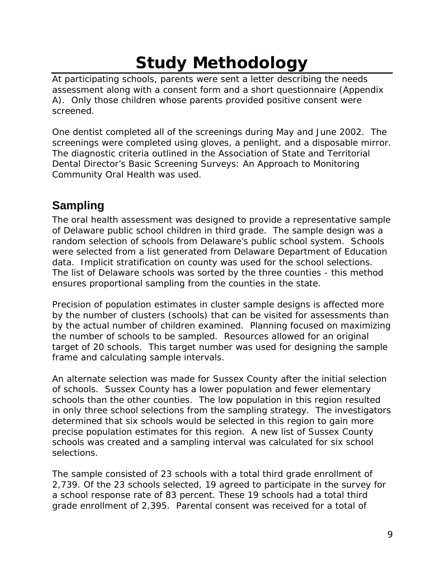# **Study Methodology**

At participating schools, parents were sent a letter describing the needs assessment along with a consent form and a short questionnaire (Appendix A). Only those children whose parents provided positive consent were screened.

One dentist completed all of the screenings during May and June 2002. The screenings were completed using gloves, a penlight, and a disposable mirror. The diagnostic criteria outlined in the Association of State and Territorial Dental Director's Basic Screening Surveys: An Approach to Monitoring Community Oral Health was used.

# **Sampling**

The oral health assessment was designed to provide a representative sample of Delaware public school children in third grade. The sample design was a random selection of schools from Delaware's public school system. Schools were selected from a list generated from Delaware Department of Education data. Implicit stratification on county was used for the school selections. The list of Delaware schools was sorted by the three counties - this method ensures proportional sampling from the counties in the state.

Precision of population estimates in cluster sample designs is affected more by the number of clusters (schools) that can be visited for assessments than by the actual number of children examined. Planning focused on maximizing the number of schools to be sampled. Resources allowed for an original target of 20 schools. This target number was used for designing the sample frame and calculating sample intervals.

An alternate selection was made for Sussex County after the initial selection of schools. Sussex County has a lower population and fewer elementary schools than the other counties. The low population in this region resulted in only three school selections from the sampling strategy. The investigators determined that six schools would be selected in this region to gain more precise population estimates for this region. A new list of Sussex County schools was created and a sampling interval was calculated for six school selections.

The sample consisted of 23 schools with a total third grade enrollment of 2,739. Of the 23 schools selected, 19 agreed to participate in the survey for a school response rate of 83 percent. These 19 schools had a total third grade enrollment of 2,395. Parental consent was received for a total of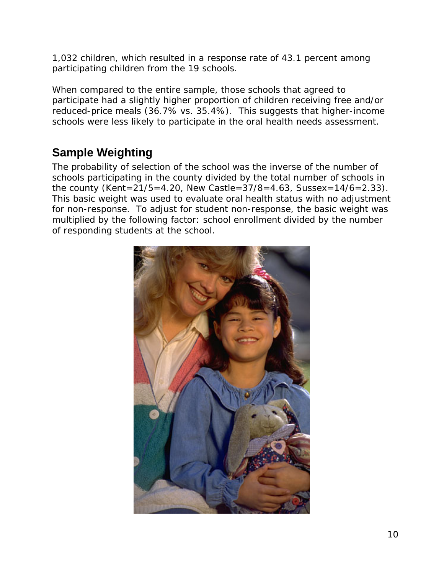1,032 children, which resulted in a response rate of 43.1 percent among participating children from the 19 schools.

When compared to the entire sample, those schools that agreed to participate had a slightly higher proportion of children receiving free and/or reduced-price meals (36.7% vs. 35.4%). This suggests that higher-income schools were less likely to participate in the oral health needs assessment.

# **Sample Weighting**

The probability of selection of the school was the inverse of the number of schools participating in the county divided by the total number of schools in the county (Kent=21/5=4.20, New Castle= $37/8$ =4.63, Sussex=14/6=2.33). This basic weight was used to evaluate oral health status with no adjustment for non-response. To adjust for student non-response, the basic weight was multiplied by the following factor: school enrollment divided by the number of responding students at the school.

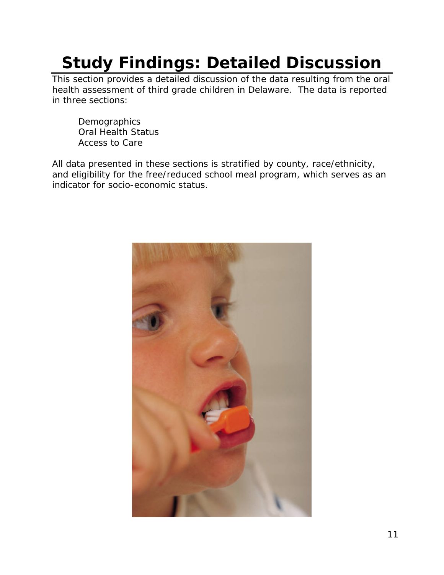# **Study Findings: Detailed Discussion**

This section provides a detailed discussion of the data resulting from the oral health assessment of third grade children in Delaware. The data is reported in three sections:

**Demographics** Oral Health Status Access to Care

All data presented in these sections is stratified by county, race/ethnicity, and eligibility for the free/reduced school meal program, which serves as an indicator for socio-economic status.

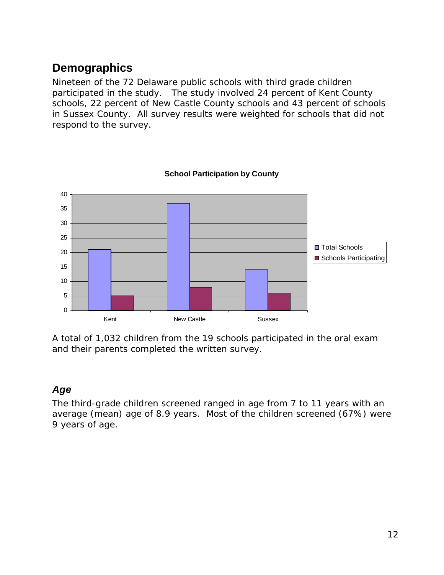## **Demographics**

Nineteen of the 72 Delaware public schools with third grade children participated in the study. The study involved 24 percent of Kent County schools, 22 percent of New Castle County schools and 43 percent of schools in Sussex County. All survey results were weighted for schools that did not respond to the survey.



**School Participation by County**

A total of 1,032 children from the 19 schools participated in the oral exam and their parents completed the written survey.

## *Age*

The third-grade children screened ranged in age from 7 to 11 years with an average (mean) age of 8.9 years. Most of the children screened (67%) were 9 years of age.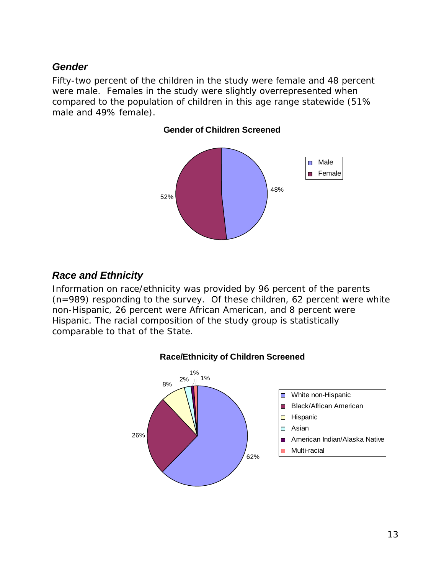## *Gender*

Fifty-two percent of the children in the study were female and 48 percent were male. Females in the study were slightly overrepresented when compared to the population of children in this age range statewide (51% male and 49% female).

**Gender of Children Screened**



## *Race and Ethnicity*

26%

Information on race/ethnicity was provided by 96 percent of the parents (n=989) responding to the survey. Of these children, 62 percent were white non-Hispanic, 26 percent were African American, and 8 percent were Hispanic. The racial composition of the study group is statistically comparable to that of the State.



62%



**Hispanic** 

Asian

- American Indian/Alaska Native m.
- Multi-racial $\blacksquare$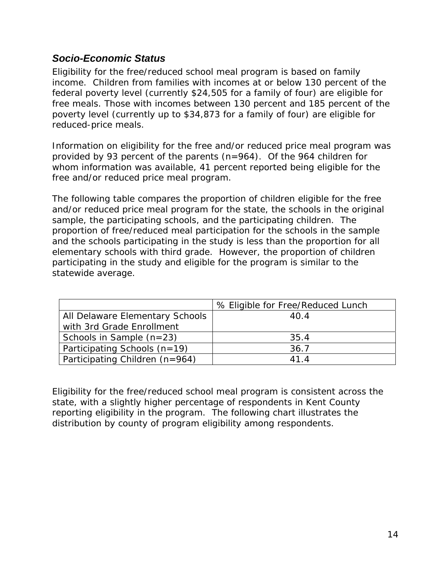## *Socio-Economic Status*

Eligibility for the free/reduced school meal program is based on family income. Children from families with incomes at or below 130 percent of the federal poverty level (currently \$24,505 for a family of four) are eligible for free meals. Those with incomes between 130 percent and 185 percent of the poverty level (currently up to \$34,873 for a family of four) are eligible for reduced-price meals.

Information on eligibility for the free and/or reduced price meal program was provided by 93 percent of the parents (n=964). Of the 964 children for whom information was available, 41 percent reported being eligible for the free and/or reduced price meal program.

The following table compares the proportion of children eligible for the free and/or reduced price meal program for the state, the schools in the original sample, the participating schools, and the participating children. The proportion of free/reduced meal participation for the schools in the sample and the schools participating in the study is less than the proportion for all elementary schools with third grade. However, the proportion of children participating in the study and eligible for the program is similar to the statewide average.

|                                 | % Eligible for Free/Reduced Lunch |
|---------------------------------|-----------------------------------|
| All Delaware Elementary Schools | 40.4                              |
| with 3rd Grade Enrollment       |                                   |
| Schools in Sample $(n=23)$      | 35.4                              |
| Participating Schools $(n=19)$  | 36.7                              |
| Participating Children (n=964)  | 414                               |

Eligibility for the free/reduced school meal program is consistent across the state, with a slightly higher percentage of respondents in Kent County reporting eligibility in the program. The following chart illustrates the distribution by county of program eligibility among respondents.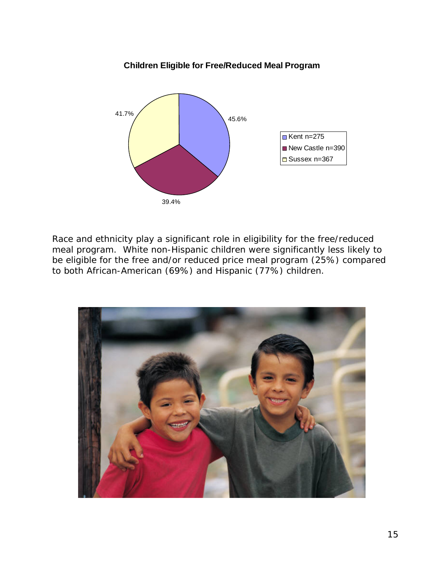#### **Children Eligible for Free/Reduced Meal Program**



Race and ethnicity play a significant role in eligibility for the free/reduced meal program. White non-Hispanic children were significantly less likely to be eligible for the free and/or reduced price meal program (25%) compared to both African-American (69%) and Hispanic (77%) children.

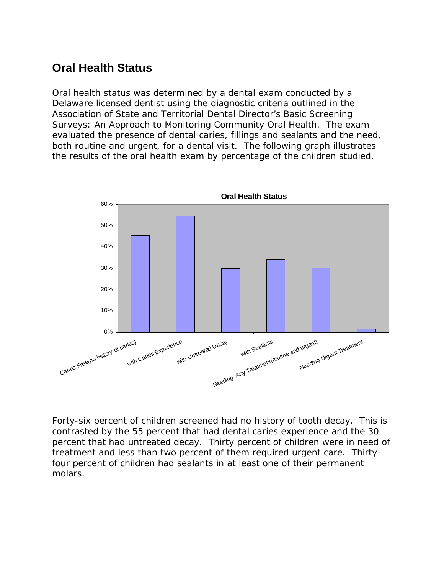## **Oral Health Status**

Oral health status was determined by a dental exam conducted by a Delaware licensed dentist using the diagnostic criteria outlined in the Association of State and Territorial Dental Director's Basic Screening Surveys: An Approach to Monitoring Community Oral Health. The exam evaluated the presence of dental caries, fillings and sealants and the need, both routine and urgent, for a dental visit. The following graph illustrates the results of the oral health exam by percentage of the children studied.



Forty-six percent of children screened had no history of tooth decay. This is contrasted by the 55 percent that had dental caries experience and the 30 percent that had untreated decay. Thirty percent of children were in need of treatment and less than two percent of them required urgent care. Thirtyfour percent of children had sealants in at least one of their permanent molars.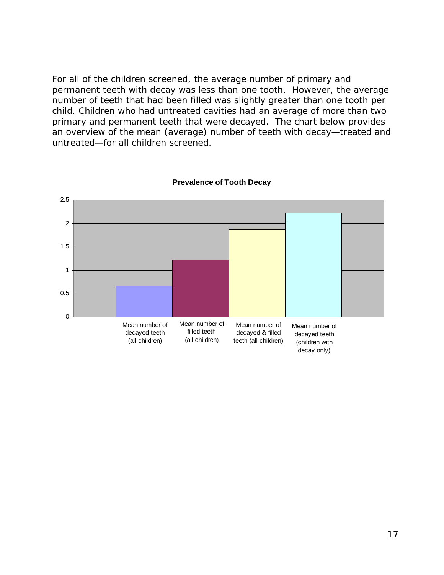For all of the children screened, the average number of primary and permanent teeth with decay was less than one tooth. However, the average number of teeth that had been filled was slightly greater than one tooth per child. Children who had untreated cavities had an average of more than two primary and permanent teeth that were decayed. The chart below provides an overview of the mean (average) number of teeth with decay—treated and untreated—for all children screened.



#### **Prevalence of Tooth Decay**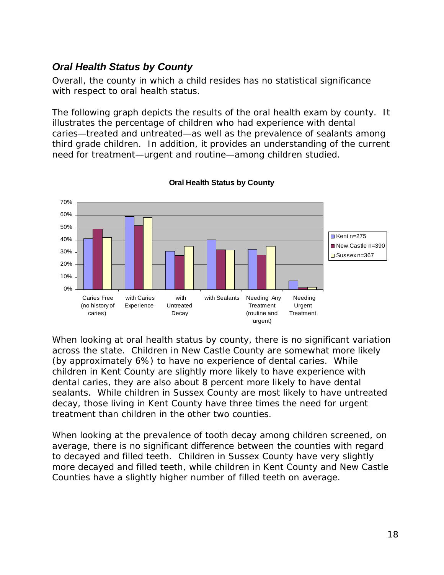## *Oral Health Status by County*

Overall, the county in which a child resides has no statistical significance with respect to oral health status.

The following graph depicts the results of the oral health exam by county. It illustrates the percentage of children who had experience with dental caries—treated and untreated—as well as the prevalence of sealants among third grade children. In addition, it provides an understanding of the current need for treatment—urgent and routine—among children studied.



#### **Oral Health Status by County**

When looking at oral health status by county, there is no significant variation across the state. Children in New Castle County are somewhat more likely (by approximately 6%) to have no experience of dental caries. While children in Kent County are slightly more likely to have experience with dental caries, they are also about 8 percent more likely to have dental sealants. While children in Sussex County are most likely to have untreated decay, those living in Kent County have three times the need for urgent treatment than children in the other two counties.

When looking at the prevalence of tooth decay among children screened, on average, there is no significant difference between the counties with regard to decayed and filled teeth. Children in Sussex County have very slightly more decayed and filled teeth, while children in Kent County and New Castle Counties have a slightly higher number of filled teeth on average.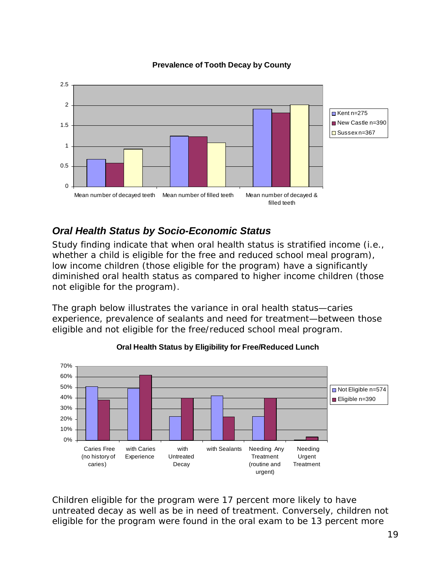

#### **Prevalence of Tooth Decay by County**

## *Oral Health Status by Socio-Economic Status*

Study finding indicate that when oral health status is stratified income (i.e., whether a child is eligible for the free and reduced school meal program), low income children (those eligible for the program) have a significantly diminished oral health status as compared to higher income children (those not eligible for the program).

The graph below illustrates the variance in oral health status—caries experience, prevalence of sealants and need for treatment—between those eligible and not eligible for the free/reduced school meal program.



**Oral Health Status by Eligibility for Free/Reduced Lunch**

Children eligible for the program were 17 percent more likely to have untreated decay as well as be in need of treatment. Conversely, children not eligible for the program were found in the oral exam to be 13 percent more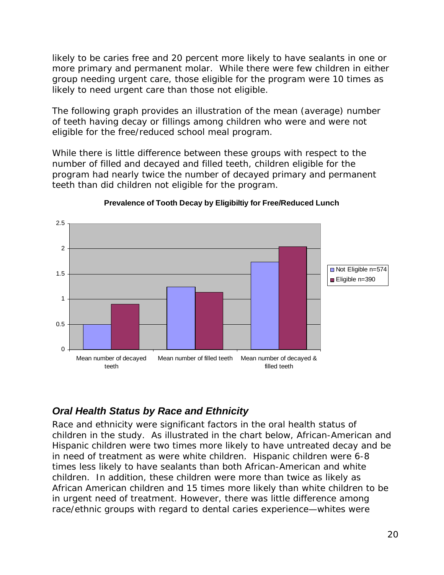likely to be caries free and 20 percent more likely to have sealants in one or more primary and permanent molar. While there were few children in either group needing urgent care, those eligible for the program were 10 times as likely to need urgent care than those not eligible.

The following graph provides an illustration of the mean (average) number of teeth having decay or fillings among children who were and were not eligible for the free/reduced school meal program.

While there is little difference between these groups with respect to the number of filled and decayed and filled teeth, children eligible for the program had nearly twice the number of decayed primary and permanent teeth than did children not eligible for the program.



**Prevalence of Tooth Decay by Eligibiltiy for Free/Reduced Lunch**

## *Oral Health Status by Race and Ethnicity*

Race and ethnicity were significant factors in the oral health status of children in the study. As illustrated in the chart below, African-American and Hispanic children were two times more likely to have untreated decay and be in need of treatment as were white children. Hispanic children were 6-8 times less likely to have sealants than both African-American and white children. In addition, these children were more than twice as likely as African American children and 15 times more likely than white children to be in urgent need of treatment. However, there was little difference among race/ethnic groups with regard to dental caries experience—whites were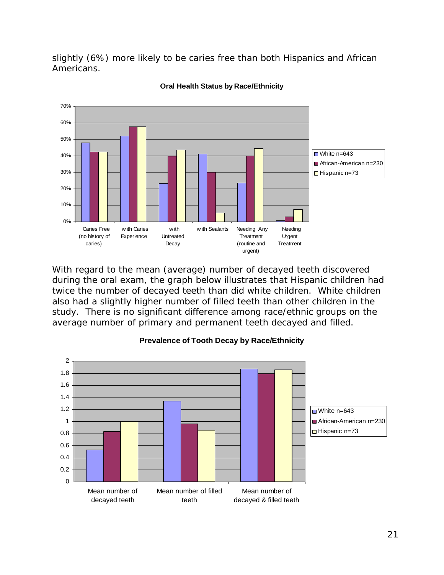slightly (6%) more likely to be caries free than both Hispanics and African Americans.



**Oral Health Status by Race/Ethnicity**

With regard to the mean (average) number of decayed teeth discovered during the oral exam, the graph below illustrates that Hispanic children had twice the number of decayed teeth than did white children. White children also had a slightly higher number of filled teeth than other children in the study. There is no significant difference among race/ethnic groups on the average number of primary and permanent teeth decayed and filled.



#### **Prevalence of Tooth Decay by Race/Ethnicity**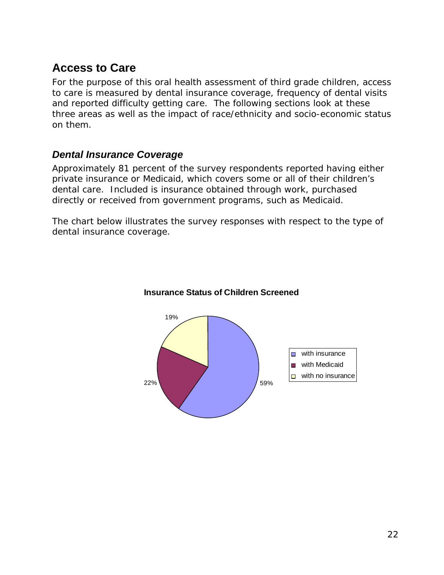## **Access to Care**

For the purpose of this oral health assessment of third grade children, access to care is measured by dental insurance coverage, frequency of dental visits and reported difficulty getting care. The following sections look at these three areas as well as the impact of race/ethnicity and socio-economic status on them.

## *Dental Insurance Coverage*

Approximately 81 percent of the survey respondents reported having either private insurance or Medicaid, which covers some or all of their children's dental care. Included is insurance obtained through work, purchased directly or received from government programs, such as Medicaid.

The chart below illustrates the survey responses with respect to the type of dental insurance coverage.



#### **Insurance Status of Children Screened**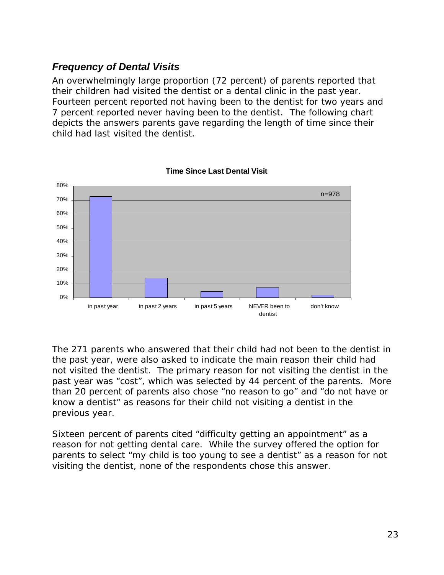## *Frequency of Dental Visits*

An overwhelmingly large proportion (72 percent) of parents reported that their children had visited the dentist or a dental clinic in the past year. Fourteen percent reported not having been to the dentist for two years and 7 percent reported never having been to the dentist. The following chart depicts the answers parents gave regarding the length of time since their child had last visited the dentist.



**Time Since Last Dental Visit**

The 271 parents who answered that their child had not been to the dentist in the past year, were also asked to indicate the main reason their child had not visited the dentist. The primary reason for not visiting the dentist in the past year was "cost", which was selected by 44 percent of the parents. More than 20 percent of parents also chose "no reason to go" and "do not have or know a dentist" as reasons for their child not visiting a dentist in the previous year.

Sixteen percent of parents cited "difficulty getting an appointment" as a reason for not getting dental care. While the survey offered the option for parents to select "my child is too young to see a dentist" as a reason for not visiting the dentist, none of the respondents chose this answer.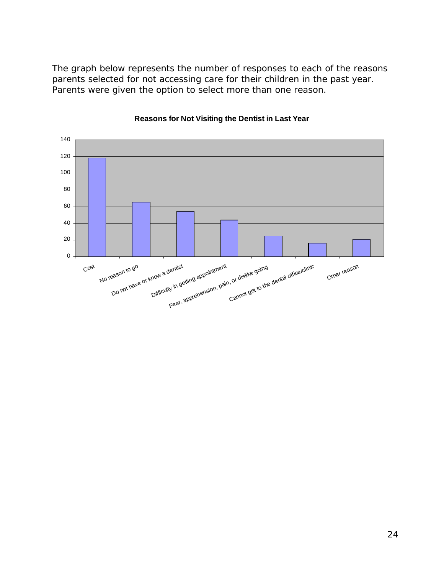The graph below represents the number of responses to each of the reasons parents selected for not accessing care for their children in the past year. Parents were given the option to select more than one reason.



#### **Reasons for Not Visiting the Dentist in Last Year**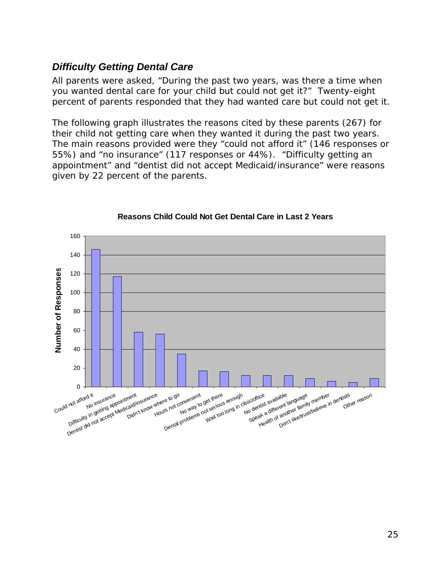## *Difficulty Getting Dental Care*

All parents were asked, "During the past two years, was there a time when you wanted dental care for your child but could not get it?" Twenty-eight percent of parents responded that they had wanted care but could not get it.

The following graph illustrates the reasons cited by these parents (267) for their child not getting care when they wanted it during the past two years. The main reasons provided were they "could not afford it" (146 responses or 55%) and "no insurance" (117 responses or 44%). "Difficulty getting an appointment" and "dentist did not accept Medicaid/insurance" were reasons given by 22 percent of the parents.



#### **Reasons Child Could Not Get Dental Care in Last 2 Years**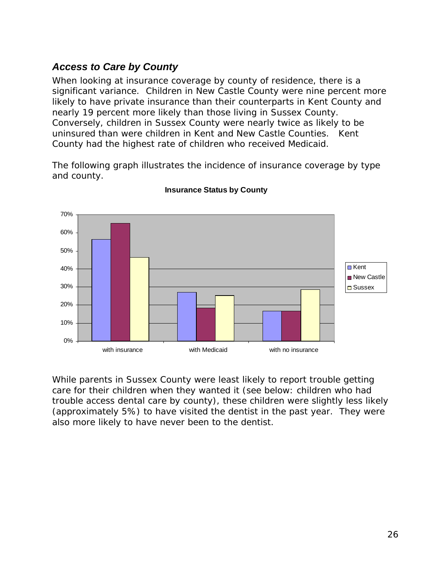## *Access to Care by County*

When looking at insurance coverage by county of residence, there is a significant variance. Children in New Castle County were nine percent more likely to have private insurance than their counterparts in Kent County and nearly 19 percent more likely than those living in Sussex County. Conversely, children in Sussex County were nearly twice as likely to be uninsured than were children in Kent and New Castle Counties. Kent County had the highest rate of children who received Medicaid.

The following graph illustrates the incidence of insurance coverage by type and county.



#### **Insurance Status by County**

While parents in Sussex County were least likely to report trouble getting care for their children when they wanted it (see below: children who had trouble access dental care by county), these children were slightly less likely (approximately 5%) to have visited the dentist in the past year. They were also more likely to have never been to the dentist.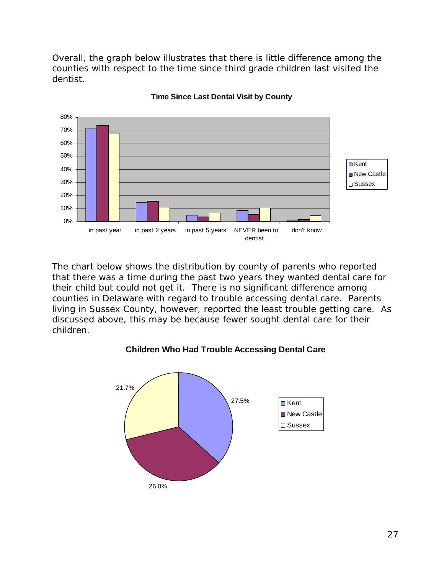Overall, the graph below illustrates that there is little difference among the counties with respect to the time since third grade children last visited the dentist.



#### **Time Since Last Dental Visit by County**

The chart below shows the distribution by county of parents who reported that there was a time during the past two years they wanted dental care for their child but could not get it. There is no significant difference among counties in Delaware with regard to trouble accessing dental care. Parents living in Sussex County, however, reported the least trouble getting care. As discussed above, this may be because fewer sought dental care for their children.

#### **Children Who Had Trouble Accessing Dental Care**

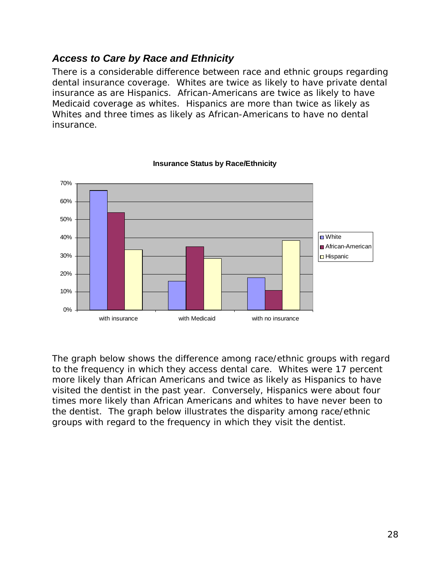## *Access to Care by Race and Ethnicity*

There is a considerable difference between race and ethnic groups regarding dental insurance coverage. Whites are twice as likely to have private dental insurance as are Hispanics. African-Americans are twice as likely to have Medicaid coverage as whites. Hispanics are more than twice as likely as Whites and three times as likely as African-Americans to have no dental insurance.



#### **Insurance Status by Race/Ethnicity**

The graph below shows the difference among race/ethnic groups with regard to the frequency in which they access dental care. Whites were 17 percent more likely than African Americans and twice as likely as Hispanics to have visited the dentist in the past year. Conversely, Hispanics were about four times more likely than African Americans and whites to have never been to the dentist. The graph below illustrates the disparity among race/ethnic groups with regard to the frequency in which they visit the dentist.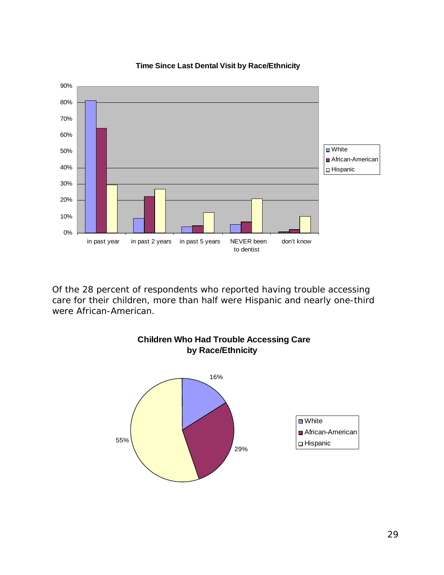

**Time Since Last Dental Visit by Race/Ethnicity**

Of the 28 percent of respondents who reported having trouble accessing care for their children, more than half were Hispanic and nearly one-third were African-American.

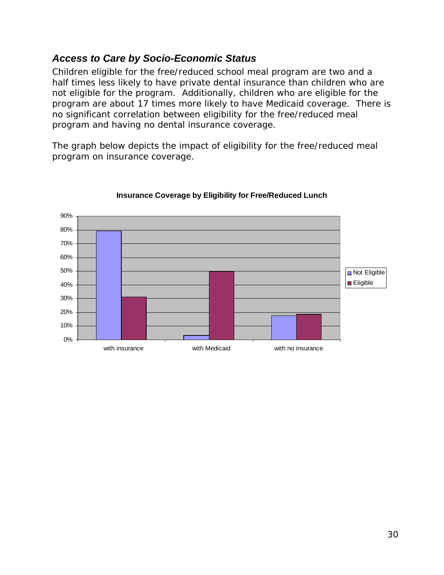## *Access to Care by Socio-Economic Status*

Children eligible for the free/reduced school meal program are two and a half times less likely to have private dental insurance than children who are not eligible for the program. Additionally, children who are eligible for the program are about 17 times more likely to have Medicaid coverage. There is no significant correlation between eligibility for the free/reduced meal program and having no dental insurance coverage.

The graph below depicts the impact of eligibility for the free/reduced meal program on insurance coverage.



#### **Insurance Coverage by Eligibility for Free/Reduced Lunch**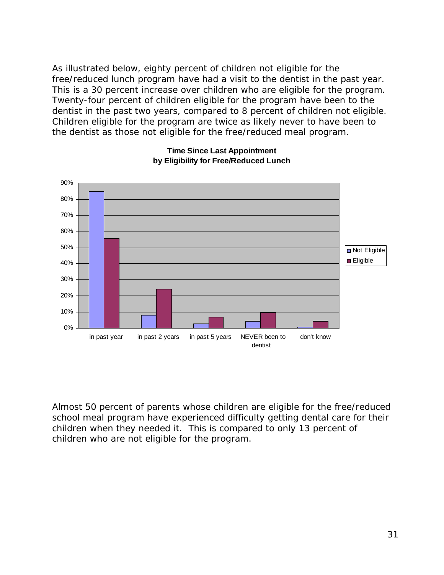As illustrated below, eighty percent of children not eligible for the free/reduced lunch program have had a visit to the dentist in the past year. This is a 30 percent increase over children who are eligible for the program. Twenty-four percent of children eligible for the program have been to the dentist in the past two years, compared to 8 percent of children not eligible. Children eligible for the program are twice as likely never to have been to the dentist as those not eligible for the free/reduced meal program.



#### **Time Since Last Appointment by Eligibility for Free/Reduced Lunch**

Almost 50 percent of parents whose children are eligible for the free/reduced school meal program have experienced difficulty getting dental care for their children when they needed it. This is compared to only 13 percent of children who are not eligible for the program.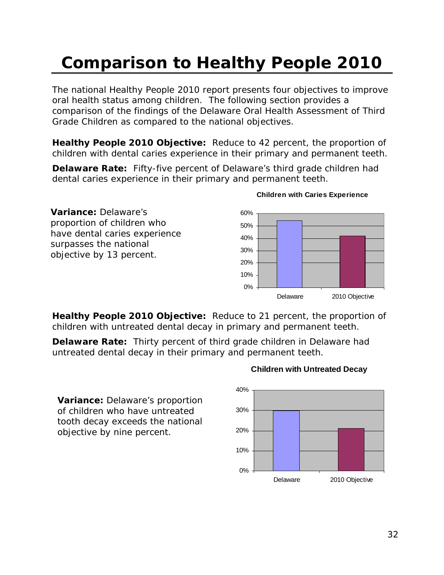# **Comparison to Healthy People 2010**

The national Healthy People 2010 report presents four objectives to improve oral health status among children. The following section provides a comparison of the findings of the Delaware Oral Health Assessment of Third Grade Children as compared to the national objectives.

**Healthy People 2010 Objective:** Reduce to 42 percent, the proportion of children with dental caries experience in their primary and permanent teeth.

**Delaware Rate:** Fifty-five percent of Delaware's third grade children had dental caries experience in their primary and permanent teeth.



#### **Children with Caries Experience**

**Healthy People 2010 Objective:** Reduce to 21 percent, the proportion of children with untreated dental decay in primary and permanent teeth.

**Delaware Rate:** Thirty percent of third grade children in Delaware had untreated dental decay in their primary and permanent teeth.

**Variance:** Delaware's proportion of children who have untreated tooth decay exceeds the national objective by nine percent.

#### **Children with Untreated Decay**

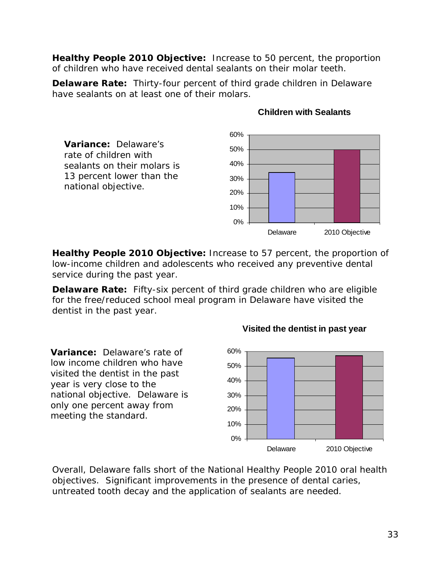**Healthy People 2010 Objective:** Increase to 50 percent, the proportion of children who have received dental sealants on their molar teeth.

**Delaware Rate:** Thirty-four percent of third grade children in Delaware have sealants on at least one of their molars.



#### **Children with Sealants**

**Healthy People 2010 Objective:** Increase to 57 percent, the proportion of low-income children and adolescents who received any preventive dental service during the past year.

**Delaware Rate:** Fifty-six percent of third grade children who are eligible for the free/reduced school meal program in Delaware have visited the dentist in the past year.

**Variance:** Delaware's rate of low income children who have visited the dentist in the past year is very close to the national objective. Delaware is only one percent away from meeting the standard.



**Visited the dentist in past year**

Overall, Delaware falls short of the National Healthy People 2010 oral health objectives. Significant improvements in the presence of dental caries, untreated tooth decay and the application of sealants are needed.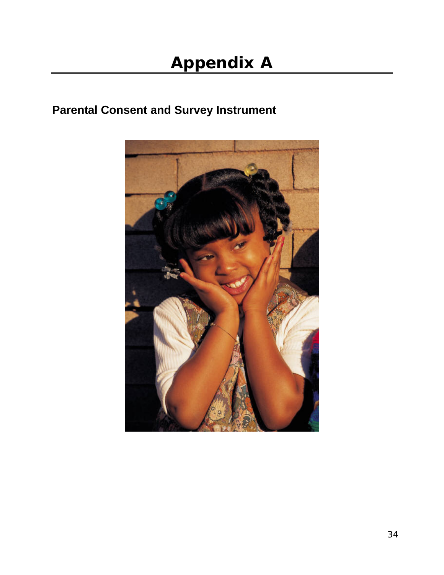# **Parental Consent and Survey Instrument**

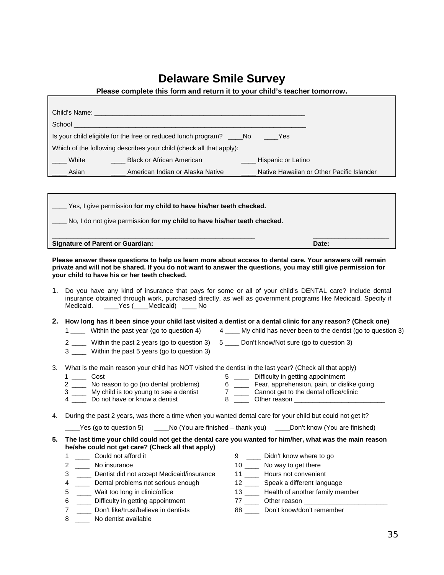## **Delaware Smile Survey**

|              | Child's Name: <b>Child's Name:</b> All the control of the control of the control of the control of the control of the control of the control of the control of the control of the control of the control of the control of the cont |                                           |
|--------------|-------------------------------------------------------------------------------------------------------------------------------------------------------------------------------------------------------------------------------------|-------------------------------------------|
| School       |                                                                                                                                                                                                                                     |                                           |
|              | Is your child eligible for the free or reduced lunch program? No                                                                                                                                                                    | <b>Parade Yes</b>                         |
|              | Which of the following describes your child (check all that apply):                                                                                                                                                                 |                                           |
| <b>White</b> | Black or African American                                                                                                                                                                                                           | Hispanic or Latino                        |
| Asian        | American Indian or Alaska Native                                                                                                                                                                                                    | Native Hawaiian or Other Pacific Islander |
|              |                                                                                                                                                                                                                                     |                                           |

| Yes, I give permission for my child to have his/her teeth checked.       |       |
|--------------------------------------------------------------------------|-------|
| No, I do not give permission for my child to have his/her teeth checked. |       |
| <b>Signature of Parent or Guardian:</b>                                  | Date: |

**Please answer these questions to help us learn more about access to dental care. Your answers will remain private and will not be shared. If you do not want to answer the questions, you may still give permission for your child to have his or her teeth checked.** 

1. Do you have any kind of insurance that pays for some or all of your child's DENTAL care? Include dental insurance obtained through work, purchased directly, as well as government programs like Medicaid. Specify if Medicaid. \_\_\_\_Yes (\_\_\_\_Medicaid) \_\_\_\_ No

#### **2. How long has it been since your child last visited a dentist or a dental clinic for any reason? (Check one)**

- 1 \_\_\_\_ Within the past year (go to question 4) 4 \_\_\_\_ My child has never been to the dentist (go to question 3)
- 2 \_\_\_\_ Within the past 2 years (go to question 3) 5 \_\_\_\_ Don't know/Not sure (go to question 3)
- 3 \_\_\_\_ Within the past 5 years (go to question 3)
- 3. What is the main reason your child has NOT visited the dentist in the last year? (Check all that apply)

|  | 2ost                                 | Difficulty in getting appointment          |
|--|--------------------------------------|--------------------------------------------|
|  | No reason to go (no dental problems) | Fear, apprehension, pain, or dislike going |

- 3 \_\_\_\_ My child is too young to see a dentist 7 \_\_\_\_ Cannot get to the dental office/clinic
- 4 \_\_\_\_ Do not have or know a dentist  $\begin{array}{ccc} 8 & \phantom{1}2 & \phantom{1}0 & \phantom{1}0 & \phantom{1}0 & \phantom{1}0 & \phantom{1}0 & \phantom{1}0 & \phantom{1}0 & \phantom{1}0 & \phantom{1}0 & \phantom{1}0 & \phantom{1}0 & \phantom{1}0 & \phantom{1}0 & \phantom{1}0 & \phantom{1}0 & \phantom{1}0 & \phantom{1}0 & \phantom{1}0 & \phantom{1}0 & \phantom{1}0 & \phantom{1}$

4. During the past 2 years, was there a time when you wanted dental care for your child but could not get it?

| Yes (go to question 5). | ____No (You are finished – thank you) | Don't know (You are finished) |
|-------------------------|---------------------------------------|-------------------------------|
|-------------------------|---------------------------------------|-------------------------------|

#### **5. The last time your child could not get the dental care you wanted for him/her, what was the main reason he/she could not get care? (Check all that apply)**

|   | Could not afford it                       | _____ Didn't know where to go             |
|---|-------------------------------------------|-------------------------------------------|
|   | No insurance                              | 10 _____ No way to get there              |
| 3 | Dentist did not accept Medicaid/insurance | 11 Hours not convenient                   |
|   | ______ Dental problems not serious enough | 12 ______ Speak a different language      |
| 5 | _____ Wait too long in clinic/office      | 13 ______ Health of another family member |
| 6 | Difficulty in getting appointment         | Other reason <b>Example</b> 2014          |
|   | Don't like/trust/believe in dentists      | 88 Don't know/don't remember              |
| 8 | No dentist available                      |                                           |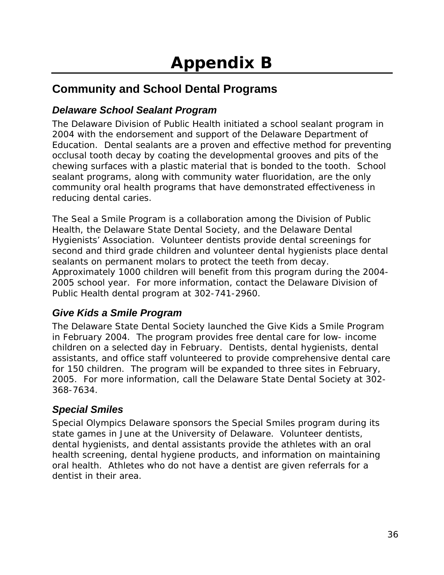# **Community and School Dental Programs**

## *Delaware School Sealant Program*

The Delaware Division of Public Health initiated a school sealant program in 2004 with the endorsement and support of the Delaware Department of Education. Dental sealants are a proven and effective method for preventing occlusal tooth decay by coating the developmental grooves and pits of the chewing surfaces with a plastic material that is bonded to the tooth. School sealant programs, along with community water fluoridation, are the only community oral health programs that have demonstrated effectiveness in reducing dental caries.

The Seal a Smile Program is a collaboration among the Division of Public Health, the Delaware State Dental Society, and the Delaware Dental Hygienists' Association. Volunteer dentists provide dental screenings for second and third grade children and volunteer dental hygienists place dental sealants on permanent molars to protect the teeth from decay. Approximately 1000 children will benefit from this program during the 2004- 2005 school year. For more information, contact the Delaware Division of Public Health dental program at 302-741-2960.

## *Give Kids a Smile Program*

The Delaware State Dental Society launched the Give Kids a Smile Program in February 2004. The program provides free dental care for low- income children on a selected day in February. Dentists, dental hygienists, dental assistants, and office staff volunteered to provide comprehensive dental care for 150 children. The program will be expanded to three sites in February, 2005. For more information, call the Delaware State Dental Society at 302- 368-7634.

## *Special Smiles*

Special Olympics Delaware sponsors the Special Smiles program during its state games in June at the University of Delaware. Volunteer dentists, dental hygienists, and dental assistants provide the athletes with an oral health screening, dental hygiene products, and information on maintaining oral health. Athletes who do not have a dentist are given referrals for a dentist in their area.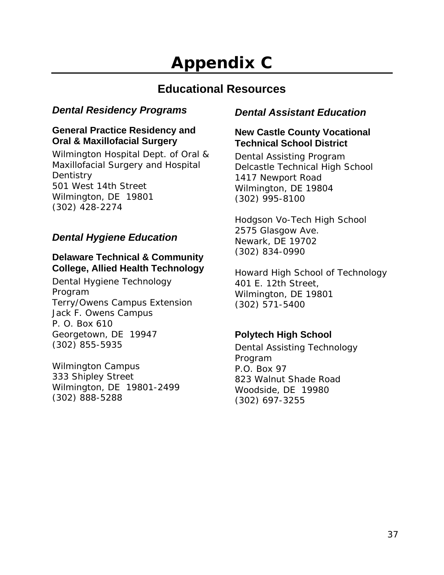# **Appendix C**

## **Educational Resources**

## *Dental Residency Programs*

### **General Practice Residency and Oral & Maxillofacial Surgery**

Wilmington Hospital Dept. of Oral & Maxillofacial Surgery and Hospital **Dentistry** 501 West 14th Street Wilmington, DE 19801 (302) 428-2274

## *Dental Hygiene Education*

### **Delaware Technical & Community College, Allied Health Technology**

Dental Hygiene Technology Program Terry/Owens Campus Extension Jack F. Owens Campus P. O. Box 610 Georgetown, DE 19947 (302) 855-5935

Wilmington Campus 333 Shipley Street Wilmington, DE 19801-2499 (302) 888-5288

## *Dental Assistant Education*

### **New Castle County Vocational Technical School District**

Dental Assisting Program Delcastle Technical High School 1417 Newport Road Wilmington, DE 19804 (302) 995-8100

Hodgson Vo-Tech High School 2575 Glasgow Ave. Newark, DE 19702 (302) 834-0990

Howard High School of Technology 401 E. 12th Street, Wilmington, DE 19801 (302) 571-5400

### **Polytech High School**

Dental Assisting Technology Program P.O. Box 97 823 Walnut Shade Road Woodside, DE 19980 (302) 697-3255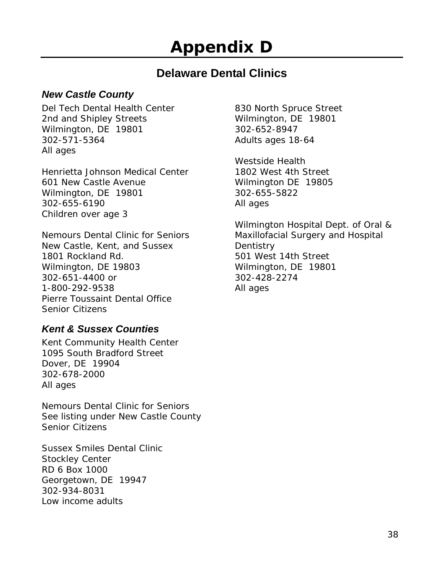# **Appendix D**

## **Delaware Dental Clinics**

## *New Castle County*

Del Tech Dental Health Center 2nd and Shipley Streets Wilmington, DE 19801 302-571-5364 All ages

Henrietta Johnson Medical Center 601 New Castle Avenue Wilmington, DE 19801 302-655-6190 Children over age 3

Nemours Dental Clinic for Seniors New Castle, Kent, and Sussex 1801 Rockland Rd. Wilmington, DE 19803 302-651-4400 or 1-800-292-9538 Pierre Toussaint Dental Office Senior Citizens

## *Kent & Sussex Counties*

Kent Community Health Center 1095 South Bradford Street Dover, DE 19904 302-678-2000 All ages

Nemours Dental Clinic for Seniors See listing under New Castle County Senior Citizens

Sussex Smiles Dental Clinic Stockley Center RD 6 Box 1000 Georgetown, DE 19947 302-934-8031 Low income adults

830 North Spruce Street Wilmington, DE 19801 302-652-8947 Adults ages 18-64

Westside Health 1802 West 4th Street Wilmington DE 19805 302-655-5822 All ages

Wilmington Hospital Dept. of Oral & Maxillofacial Surgery and Hospital **Dentistry** 501 West 14th Street Wilmington, DE 19801 302-428-2274 All ages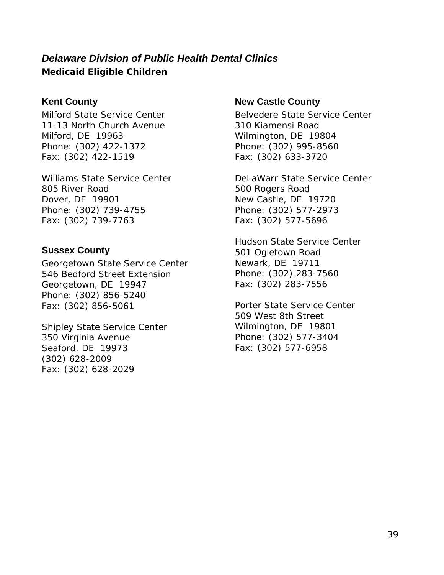## *Delaware Division of Public Health Dental Clinics*  **Medicaid Eligible Children**

### **Kent County**

Milford State Service Center 11-13 North Church Avenue Milford, DE 19963 Phone: (302) 422-1372 Fax: (302) 422-1519

Williams State Service Center 805 River Road Dover, DE 19901 Phone: (302) 739-4755 Fax: (302) 739-7763

### **Sussex County**

Georgetown State Service Center 546 Bedford Street Extension Georgetown, DE 19947 Phone: (302) 856-5240 Fax: (302) 856-5061

Shipley State Service Center 350 Virginia Avenue Seaford, DE 19973 (302) 628-2009 Fax: (302) 628-2029

### **New Castle County**

Belvedere State Service Center 310 Kiamensi Road Wilmington, DE 19804 Phone: (302) 995-8560 Fax: (302) 633-3720

DeLaWarr State Service Center 500 Rogers Road New Castle, DE 19720 Phone: (302) 577-2973 Fax: (302) 577-5696

Hudson State Service Center 501 Ogletown Road Newark, DE 19711 Phone: (302) 283-7560 Fax: (302) 283-7556

Porter State Service Center 509 West 8th Street Wilmington, DE 19801 Phone: (302) 577-3404 Fax: (302) 577-6958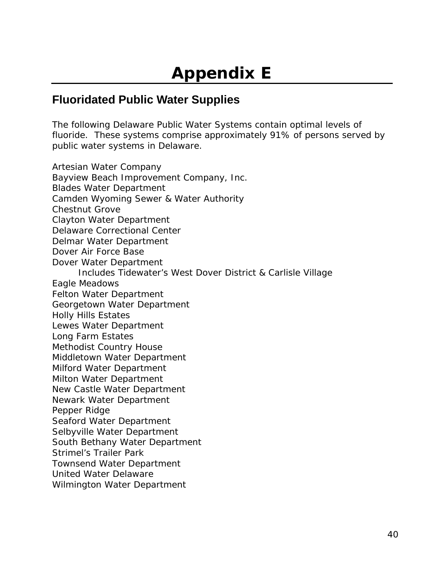## **Fluoridated Public Water Supplies**

The following Delaware Public Water Systems contain optimal levels of fluoride. These systems comprise approximately 91% of persons served by public water systems in Delaware.

Artesian Water Company Bayview Beach Improvement Company, Inc. Blades Water Department Camden Wyoming Sewer & Water Authority Chestnut Grove Clayton Water Department Delaware Correctional Center Delmar Water Department Dover Air Force Base Dover Water Department Includes Tidewater's West Dover District & Carlisle Village Eagle Meadows Felton Water Department Georgetown Water Department Holly Hills Estates Lewes Water Department Long Farm Estates Methodist Country House Middletown Water Department Milford Water Department Milton Water Department New Castle Water Department Newark Water Department Pepper Ridge Seaford Water Department Selbyville Water Department South Bethany Water Department Strimel's Trailer Park Townsend Water Department United Water Delaware Wilmington Water Department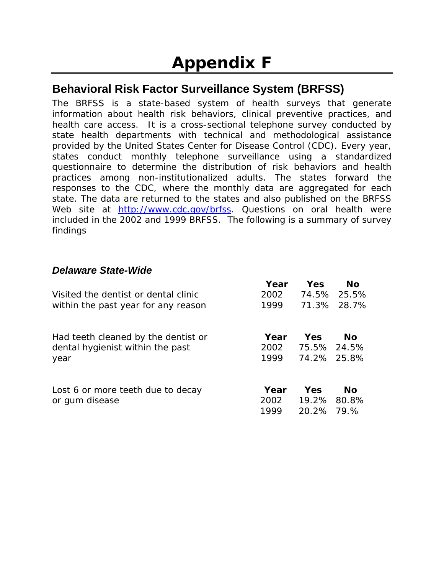## **Behavioral Risk Factor Surveillance System (BRFSS)**

The BRFSS is a state-based system of health surveys that generate information about health risk behaviors, clinical preventive practices, and health care access. It is a cross-sectional telephone survey conducted by state health departments with technical and methodological assistance provided by the United States Center for Disease Control (CDC). Every year, states conduct monthly telephone surveillance using a standardized questionnaire to determine the distribution of risk behaviors and health practices among non-institutionalized adults. The states forward the responses to the CDC, where the monthly data are aggregated for each state. The data are returned to the states and also published on the BRFSS Web site at http://www.cdc.gov/brfss. Questions on oral health were included in the 2002 and 1999 BRFSS. The following is a summary of survey findings

## *Delaware State-Wide*

|                                                                                 | Year                 | Yes                               | <b>No</b>   |
|---------------------------------------------------------------------------------|----------------------|-----------------------------------|-------------|
| Visited the dentist or dental clinic                                            | 2002                 |                                   | 74.5% 25.5% |
| within the past year for any reason                                             | 1999                 |                                   | 71.3% 28.7% |
| Had teeth cleaned by the dentist or<br>dental hygienist within the past<br>year | Year<br>2002<br>1999 | Yes<br>75.5% 24.5%<br>74.2% 25.8% | No          |
| Lost 6 or more teeth due to decay<br>or gum disease                             | Year<br>2002         | <b>Yes</b><br>19.2%               | No<br>80.8% |
|                                                                                 | 1999                 | 20.2%                             | 79.%        |